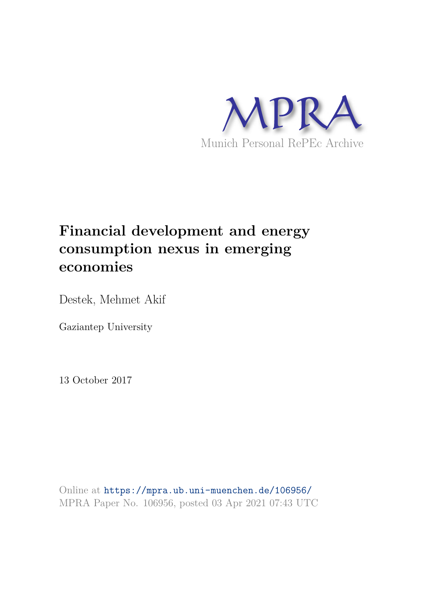

# **Financial development and energy consumption nexus in emerging economies**

Destek, Mehmet Akif

Gaziantep University

13 October 2017

Online at https://mpra.ub.uni-muenchen.de/106956/ MPRA Paper No. 106956, posted 03 Apr 2021 07:43 UTC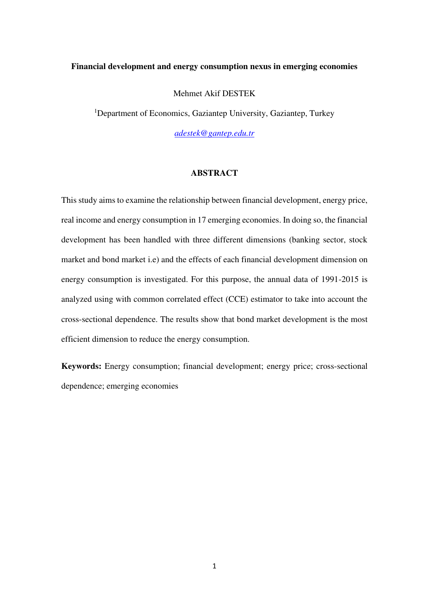#### **Financial development and energy consumption nexus in emerging economies**

Mehmet Akif DESTEK

<sup>1</sup>Department of Economics, Gaziantep University, Gaziantep, Turkey

*[adestek@gantep.edu.tr](mailto:adestek@gantep.edu.tr)*

## **ABSTRACT**

This study aims to examine the relationship between financial development, energy price, real income and energy consumption in 17 emerging economies. In doing so, the financial development has been handled with three different dimensions (banking sector, stock market and bond market i.e) and the effects of each financial development dimension on energy consumption is investigated. For this purpose, the annual data of 1991-2015 is analyzed using with common correlated effect (CCE) estimator to take into account the cross-sectional dependence. The results show that bond market development is the most efficient dimension to reduce the energy consumption.

**Keywords:** Energy consumption; financial development; energy price; cross-sectional dependence; emerging economies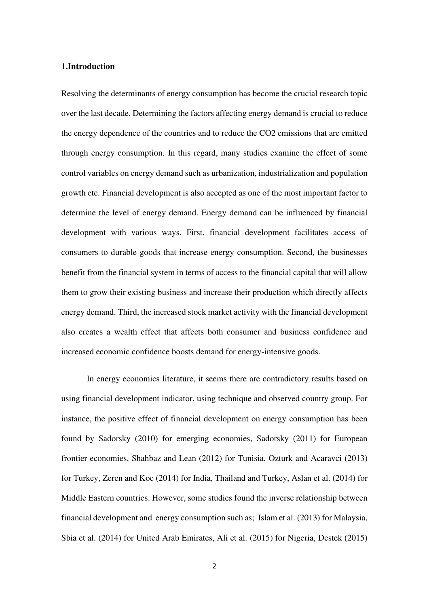#### **1.Introduction**

Resolving the determinants of energy consumption has become the crucial research topic over the last decade. Determining the factors affecting energy demand is crucial to reduce the energy dependence of the countries and to reduce the CO2 emissions that are emitted through energy consumption. In this regard, many studies examine the effect of some control variables on energy demand such as urbanization, industrialization and population growth etc. Financial development is also accepted as one of the most important factor to determine the level of energy demand. Energy demand can be influenced by financial development with various ways. First, financial development facilitates access of consumers to durable goods that increase energy consumption. Second, the businesses benefit from the financial system in terms of access to the financial capital that will allow them to grow their existing business and increase their production which directly affects energy demand. Third, the increased stock market activity with the financial development also creates a wealth effect that affects both consumer and business confidence and increased economic confidence boosts demand for energy-intensive goods.

In energy economics literature, it seems there are contradictory results based on using financial development indicator, using technique and observed country group. For instance, the positive effect of financial development on energy consumption has been found by Sadorsky (2010) for emerging economies, Sadorsky (2011) for European frontier economies, Shahbaz and Lean (2012) for Tunisia, Ozturk and Acaravci (2013) for Turkey, Zeren and Koc (2014) for India, Thailand and Turkey, Aslan et al. (2014) for Middle Eastern countries. However, some studies found the inverse relationship between financial development and energy consumption such as; Islam et al. (2013) for Malaysia, Sbia et al. (2014) for United Arab Emirates, Ali et al. (2015) for Nigeria, Destek (2015)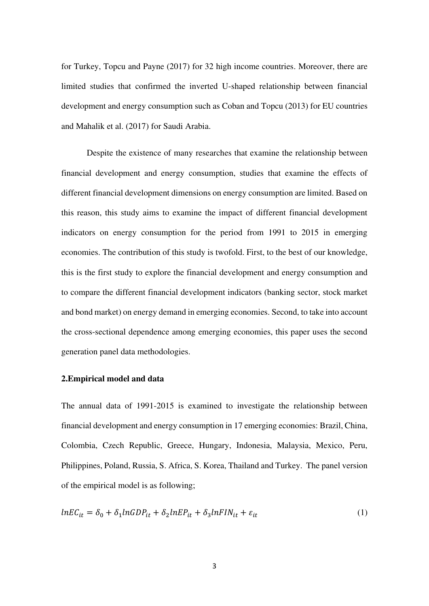for Turkey, Topcu and Payne (2017) for 32 high income countries. Moreover, there are limited studies that confirmed the inverted U-shaped relationship between financial development and energy consumption such as Coban and Topcu (2013) for EU countries and Mahalik et al. (2017) for Saudi Arabia.

Despite the existence of many researches that examine the relationship between financial development and energy consumption, studies that examine the effects of different financial development dimensions on energy consumption are limited. Based on this reason, this study aims to examine the impact of different financial development indicators on energy consumption for the period from 1991 to 2015 in emerging economies. The contribution of this study is twofold. First, to the best of our knowledge, this is the first study to explore the financial development and energy consumption and to compare the different financial development indicators (banking sector, stock market and bond market) on energy demand in emerging economies. Second, to take into account the cross-sectional dependence among emerging economies, this paper uses the second generation panel data methodologies.

## **2.Empirical model and data**

The annual data of 1991-2015 is examined to investigate the relationship between financial development and energy consumption in 17 emerging economies: Brazil, China, Colombia, Czech Republic, Greece, Hungary, Indonesia, Malaysia, Mexico, Peru, Philippines, Poland, Russia, S. Africa, S. Korea, Thailand and Turkey. The panel version of the empirical model is as following;

$$
lnEC_{it} = \delta_0 + \delta_1 lnGDP_{it} + \delta_2 lnEP_{it} + \delta_3 lnFIN_{it} + \varepsilon_{it}
$$
\n(1)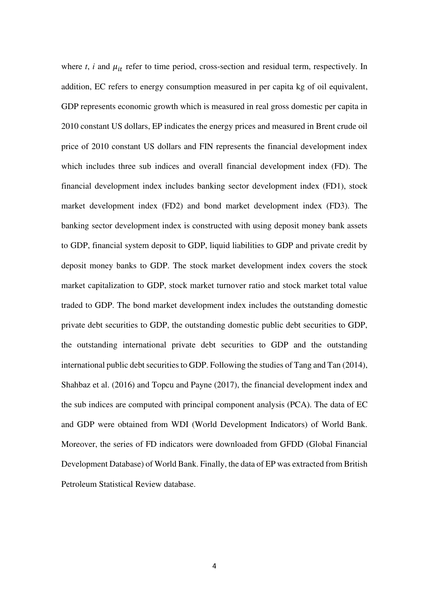where  $t$ ,  $i$  and  $\mu_{it}$  refer to time period, cross-section and residual term, respectively. In addition, EC refers to energy consumption measured in per capita kg of oil equivalent, GDP represents economic growth which is measured in real gross domestic per capita in 2010 constant US dollars, EP indicates the energy prices and measured in Brent crude oil price of 2010 constant US dollars and FIN represents the financial development index which includes three sub indices and overall financial development index (FD). The financial development index includes banking sector development index (FD1), stock market development index (FD2) and bond market development index (FD3). The banking sector development index is constructed with using deposit money bank assets to GDP, financial system deposit to GDP, liquid liabilities to GDP and private credit by deposit money banks to GDP. The stock market development index covers the stock market capitalization to GDP, stock market turnover ratio and stock market total value traded to GDP. The bond market development index includes the outstanding domestic private debt securities to GDP, the outstanding domestic public debt securities to GDP, the outstanding international private debt securities to GDP and the outstanding international public debt securities to GDP. Following the studies of Tang and Tan (2014), Shahbaz et al. (2016) and Topcu and Payne (2017), the financial development index and the sub indices are computed with principal component analysis (PCA). The data of EC and GDP were obtained from WDI (World Development Indicators) of World Bank. Moreover, the series of FD indicators were downloaded from GFDD (Global Financial Development Database) of World Bank. Finally, the data of EP was extracted from British Petroleum Statistical Review database.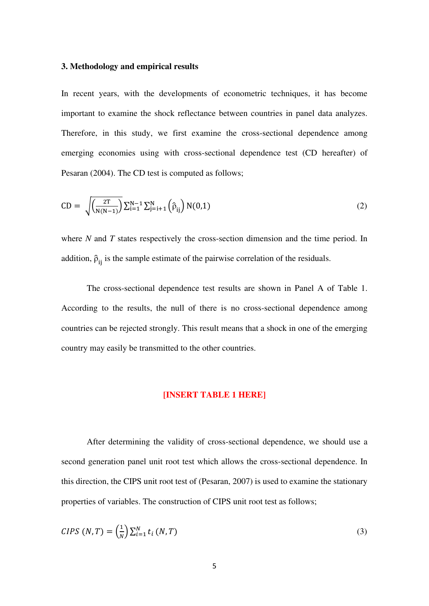#### **3. Methodology and empirical results**

In recent years, with the developments of econometric techniques, it has become important to examine the shock reflectance between countries in panel data analyzes. Therefore, in this study, we first examine the cross-sectional dependence among emerging economies using with cross-sectional dependence test (CD hereafter) of Pesaran (2004). The CD test is computed as follows;

$$
CD = \sqrt{\frac{2T}{N(N-1)}} \sum_{i=1}^{N-1} \sum_{j=i+1}^{N} (\hat{\rho}_{ij}) N(0,1)
$$
 (2)

where *N* and *T* states respectively the cross-section dimension and the time period. In addition,  $\hat{p}_{ij}$  is the sample estimate of the pairwise correlation of the residuals.

The cross-sectional dependence test results are shown in Panel A of Table 1. According to the results, the null of there is no cross-sectional dependence among countries can be rejected strongly. This result means that a shock in one of the emerging country may easily be transmitted to the other countries.

#### **[INSERT TABLE 1 HERE]**

After determining the validity of cross-sectional dependence, we should use a second generation panel unit root test which allows the cross-sectional dependence. In this direction, the CIPS unit root test of (Pesaran, 2007) is used to examine the stationary properties of variables. The construction of CIPS unit root test as follows;

$$
CIPS (N, T) = \left(\frac{1}{N}\right) \sum_{i=1}^{N} t_i (N, T) \tag{3}
$$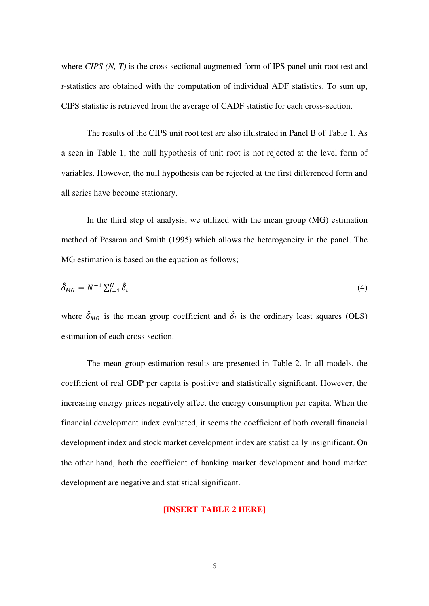where *CIPS* (*N, T*) is the cross-sectional augmented form of IPS panel unit root test and *t*-statistics are obtained with the computation of individual ADF statistics. To sum up, CIPS statistic is retrieved from the average of CADF statistic for each cross-section.

The results of the CIPS unit root test are also illustrated in Panel B of Table 1. As a seen in Table 1, the null hypothesis of unit root is not rejected at the level form of variables. However, the null hypothesis can be rejected at the first differenced form and all series have become stationary.

In the third step of analysis, we utilized with the mean group (MG) estimation method of Pesaran and Smith (1995) which allows the heterogeneity in the panel. The MG estimation is based on the equation as follows;

$$
\hat{\delta}_{MG} = N^{-1} \sum_{i=1}^{N} \hat{\delta}_i \tag{4}
$$

where  $\delta_{MG}$  is the mean group coefficient and  $\delta_i$  is the ordinary least squares (OLS) estimation of each cross-section.

The mean group estimation results are presented in Table 2. In all models, the coefficient of real GDP per capita is positive and statistically significant. However, the increasing energy prices negatively affect the energy consumption per capita. When the financial development index evaluated, it seems the coefficient of both overall financial development index and stock market development index are statistically insignificant. On the other hand, both the coefficient of banking market development and bond market development are negative and statistical significant.

# **[INSERT TABLE 2 HERE]**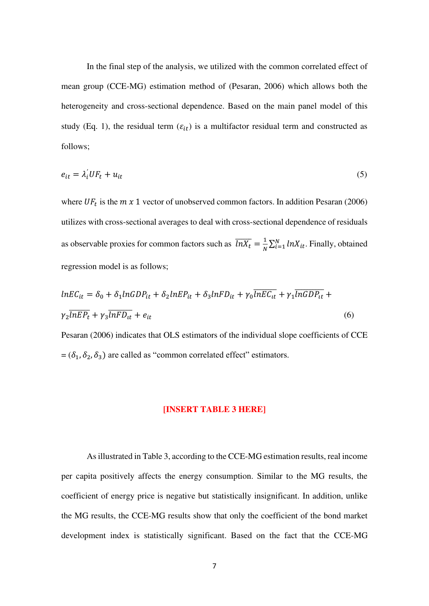In the final step of the analysis, we utilized with the common correlated effect of mean group (CCE-MG) estimation method of (Pesaran, 2006) which allows both the heterogeneity and cross-sectional dependence. Based on the main panel model of this study (Eq. 1), the residual term  $(\varepsilon_{it})$  is a multifactor residual term and constructed as follows;

$$
e_{it} = \lambda_i' U F_t + u_{it} \tag{5}
$$

where  $UF_t$  is the  $m \times 1$  vector of unobserved common factors. In addition Pesaran (2006) utilizes with cross-sectional averages to deal with cross-sectional dependence of residuals as observable proxies for common factors such as  $\overline{lnX_t} = \frac{1}{N}$  $\frac{1}{N} \sum_{i=1}^{N} lnX_{it}$ . Finally, obtained regression model is as follows;

$$
ln EC_{it} = \delta_0 + \delta_1 ln GDP_{it} + \delta_2 ln EP_{it} + \delta_3 ln FD_{it} + \gamma_0 \overline{ln EC_{it}} + \gamma_1 \overline{ln GDP_{it}} + \gamma_2 \overline{ln EP_t} + \gamma_3 \overline{ln FD_{it}} + e_{it}
$$
\n(6)

Pesaran (2006) indicates that OLS estimators of the individual slope coefficients of CCE =  $(\delta_1, \delta_2, \delta_3)$  are called as "common correlated effect" estimators.

#### **[INSERT TABLE 3 HERE]**

As illustrated in Table 3, according to the CCE-MG estimation results, real income per capita positively affects the energy consumption. Similar to the MG results, the coefficient of energy price is negative but statistically insignificant. In addition, unlike the MG results, the CCE-MG results show that only the coefficient of the bond market development index is statistically significant. Based on the fact that the CCE-MG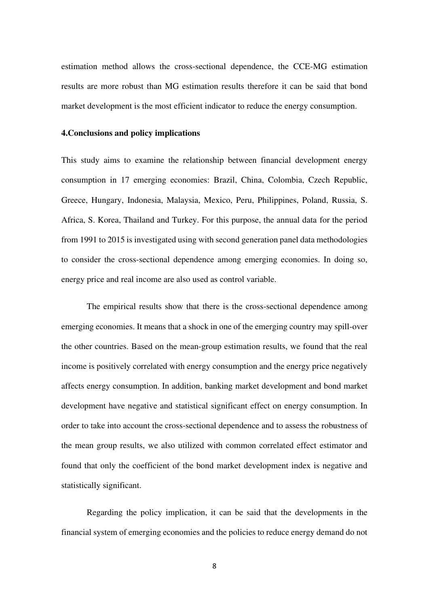estimation method allows the cross-sectional dependence, the CCE-MG estimation results are more robust than MG estimation results therefore it can be said that bond market development is the most efficient indicator to reduce the energy consumption.

#### **4.Conclusions and policy implications**

This study aims to examine the relationship between financial development energy consumption in 17 emerging economies: Brazil, China, Colombia, Czech Republic, Greece, Hungary, Indonesia, Malaysia, Mexico, Peru, Philippines, Poland, Russia, S. Africa, S. Korea, Thailand and Turkey. For this purpose, the annual data for the period from 1991 to 2015 is investigated using with second generation panel data methodologies to consider the cross-sectional dependence among emerging economies. In doing so, energy price and real income are also used as control variable.

The empirical results show that there is the cross-sectional dependence among emerging economies. It means that a shock in one of the emerging country may spill-over the other countries. Based on the mean-group estimation results, we found that the real income is positively correlated with energy consumption and the energy price negatively affects energy consumption. In addition, banking market development and bond market development have negative and statistical significant effect on energy consumption. In order to take into account the cross-sectional dependence and to assess the robustness of the mean group results, we also utilized with common correlated effect estimator and found that only the coefficient of the bond market development index is negative and statistically significant.

Regarding the policy implication, it can be said that the developments in the financial system of emerging economies and the policies to reduce energy demand do not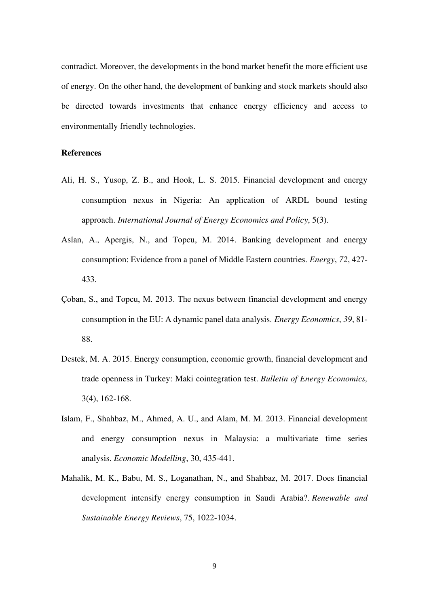contradict. Moreover, the developments in the bond market benefit the more efficient use of energy. On the other hand, the development of banking and stock markets should also be directed towards investments that enhance energy efficiency and access to environmentally friendly technologies.

### **References**

- Ali, H. S., Yusop, Z. B., and Hook, L. S. 2015. Financial development and energy consumption nexus in Nigeria: An application of ARDL bound testing approach. *International Journal of Energy Economics and Policy*, 5(3).
- Aslan, A., Apergis, N., and Topcu, M. 2014. Banking development and energy consumption: Evidence from a panel of Middle Eastern countries. *Energy*, *72*, 427- 433.
- Çoban, S., and Topcu, M. 2013. The nexus between financial development and energy consumption in the EU: A dynamic panel data analysis. *Energy Economics*, *39*, 81- 88.
- Destek, M. A. 2015. Energy consumption, economic growth, financial development and trade openness in Turkey: Maki cointegration test. *Bulletin of Energy Economics,*  3(4), 162-168.
- Islam, F., Shahbaz, M., Ahmed, A. U., and Alam, M. M. 2013. Financial development and energy consumption nexus in Malaysia: a multivariate time series analysis. *Economic Modelling*, 30, 435-441.
- Mahalik, M. K., Babu, M. S., Loganathan, N., and Shahbaz, M. 2017. Does financial development intensify energy consumption in Saudi Arabia?. *Renewable and Sustainable Energy Reviews*, 75, 1022-1034.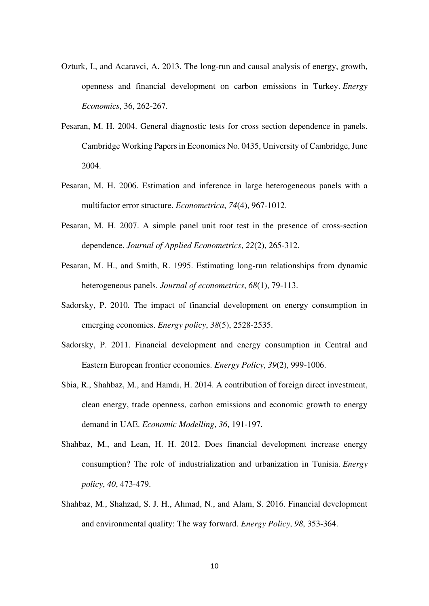- Ozturk, I., and Acaravci, A. 2013. The long-run and causal analysis of energy, growth, openness and financial development on carbon emissions in Turkey. *Energy Economics*, 36, 262-267.
- Pesaran, M. H. 2004. General diagnostic tests for cross section dependence in panels. Cambridge Working Papers in Economics No. 0435, University of Cambridge, June 2004.
- Pesaran, M. H. 2006. Estimation and inference in large heterogeneous panels with a multifactor error structure. *Econometrica*, *74*(4), 967-1012.
- Pesaran, M. H. 2007. A simple panel unit root test in the presence of cross-section dependence. *Journal of Applied Econometrics*, *22*(2), 265-312.
- Pesaran, M. H., and Smith, R. 1995. Estimating long-run relationships from dynamic heterogeneous panels. *Journal of econometrics*, *68*(1), 79-113.
- Sadorsky, P. 2010. The impact of financial development on energy consumption in emerging economies. *Energy policy*, *38*(5), 2528-2535.
- Sadorsky, P. 2011. Financial development and energy consumption in Central and Eastern European frontier economies. *Energy Policy*, *39*(2), 999-1006.
- Sbia, R., Shahbaz, M., and Hamdi, H. 2014. A contribution of foreign direct investment, clean energy, trade openness, carbon emissions and economic growth to energy demand in UAE. *Economic Modelling*, *36*, 191-197.
- Shahbaz, M., and Lean, H. H. 2012. Does financial development increase energy consumption? The role of industrialization and urbanization in Tunisia. *Energy policy*, *40*, 473-479.
- Shahbaz, M., Shahzad, S. J. H., Ahmad, N., and Alam, S. 2016. Financial development and environmental quality: The way forward. *Energy Policy*, *98*, 353-364.